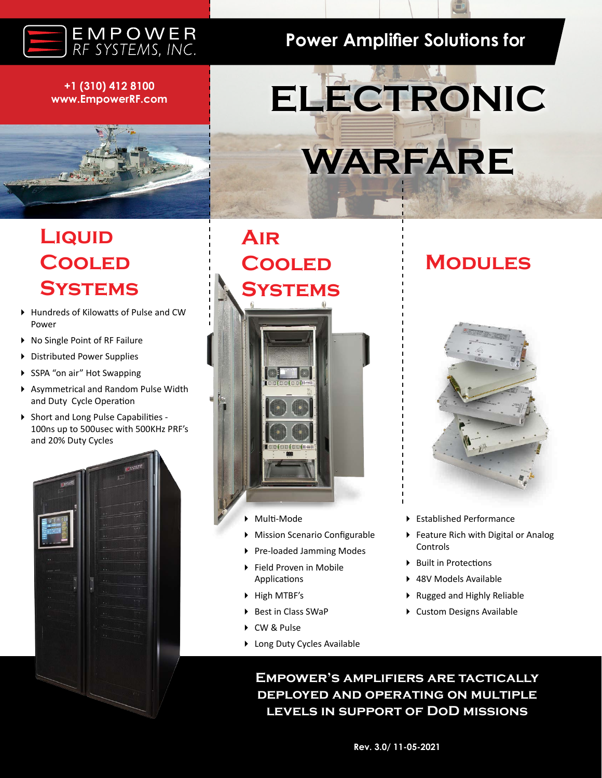

### **+1 (310) 412 8100 www.EmpowerRF.com**

# **Power Amplifier Solutions for**

# **ELECTRONIC WARFARE**

# **Liquid Cooled Systems**

- Hundreds of Kilowatts of Pulse and CW Power
- ▶ No Single Point of RF Failure
- ▶ Distributed Power Supplies
- ▶ SSPA "on air" Hot Swapping
- Asymmetrical and Random Pulse Width and Duty Cycle Operation
- ▶ Short and Long Pulse Capabilities -100ns up to 500usec with 500KHz PRF's and 20% Duty Cycles



**Air Cooled Systems**



- Multi-Mode
- Mission Scenario Configurable
- ▶ Pre-loaded Jamming Modes
- Field Proven in Mobile Applications
- High MTBF's
- ▶ Best in Class SWaP
- ▶ CW & Pulse
- Long Duty Cycles Available

**Modules**

- Established Performance
- Feature Rich with Digital or Analog Controls
- ▶ Built in Protections
- 48V Models Available
- ▶ Rugged and Highly Reliable
- Custom Designs Available

**Empower's amplifiers are tactically deployed and operating on multiple levels in support of DoD missions**